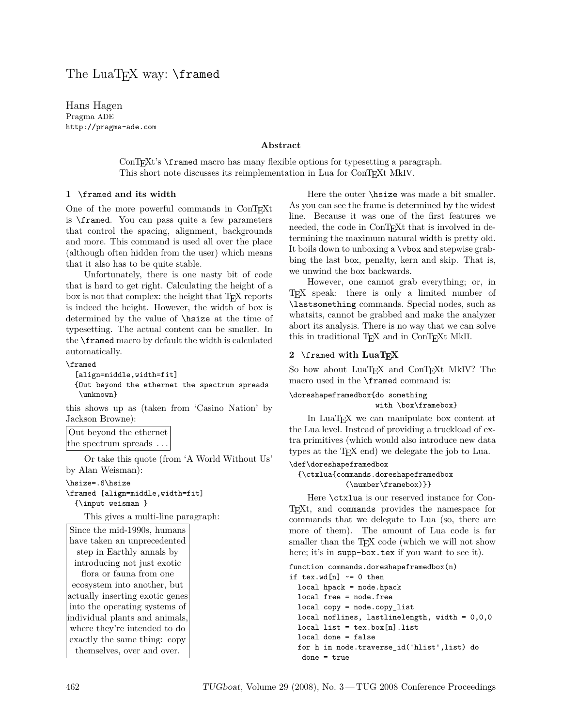# The LuaT<sub>F</sub>X way: \framed

Hans Hagen Pragma ADE http://pragma-ade.com

## **Abstract**

ConTEXt's \framed macro has many flexible options for typesetting a paragraph. This short note discusses its reimplementation in Lua for ConTEXt MkIV.

#### **1** \framed **and its width**

One of the more powerful commands in ConTEXt is \framed. You can pass quite a few parameters that control the spacing, alignment, backgrounds and more. This command is used all over the place (although often hidden from the user) which means that it also has to be quite stable.

Unfortunately, there is one nasty bit of code that is hard to get right. Calculating the height of a box is not that complex: the height that T<sub>E</sub>X reports is indeed the height. However, the width of box is determined by the value of \hsize at the time of typesetting. The actual content can be smaller. In the \framed macro by default the width is calculated automatically.

```
\framed
```

```
[align=middle,width=fit]
{Out beyond the ethernet the spectrum spreads
\unknown}
```
this shows up as (taken from 'Casino Nation' by Jackson Browne):

Out beyond the ethernet the spectrum spreads ...

Or take this quote (from 'A World Without Us' by Alan Weisman):

\hsize=.6\hsize

```
\framed [align=middle,width=fit]
  {\input weisman }
```
This gives a multi-line paragraph:

Since the mid-1990s, humans have taken an unprecedented step in Earthly annals by introducing not just exotic flora or fauna from one ecosystem into another, but actually inserting exotic genes into the operating systems of individual plants and animals, where they're intended to do exactly the same thing: copy themselves, over and over.

Here the outer \hsize was made a bit smaller. As you can see the frame is determined by the widest line. Because it was one of the first features we needed, the code in ConTEXt that is involved in determining the maximum natural width is pretty old. It boils down to unboxing a \vbox and stepwise grabbing the last box, penalty, kern and skip. That is, we unwind the box backwards.

However, one cannot grab everything; or, in TEX speak: there is only a limited number of \lastsomething commands. Special nodes, such as whatsits, cannot be grabbed and make the analyzer abort its analysis. There is no way that we can solve this in traditional T<sub>E</sub>X and in ConT<sub>E</sub>X<sub>t</sub> MkII.

### **2** \framed **with LuaTEX**

So how about LuaT<sub>EX</sub> and ConT<sub>EX</sub>t MkIV? The macro used in the \framed command is:

### \doreshapeframedbox{do something with \box\framebox}

In LuaT<sub>EX</sub> we can manipulate box content at the Lua level. Instead of providing a truckload of extra primitives (which would also introduce new data types at the T<sub>E</sub>X end) we delegate the job to Lua.

#### \def\doreshapeframedbox

#### {\ctxlua{commands.doreshapeframedbox (\number\framebox)}}

Here \ctxlua is our reserved instance for Con-T<sub>EXt</sub>, and commands provides the namespace for commands that we delegate to Lua (so, there are more of them). The amount of Lua code is far smaller than the T<sub>E</sub>X code (which we will not show here; it's in supp-box.tex if you want to see it).

```
function commands.doreshapeframedbox(n)
if text.wd[n] \sim 0 then
 local hpack = node.hpack
 local free = node.free
 local copy = node.copy_list
  local noflines, lastlinelength, width = 0,0,0
  local list = tex.box[n].listlocal done = false
  for h in node.traverse_id('hlist',list) do
   done = true
```